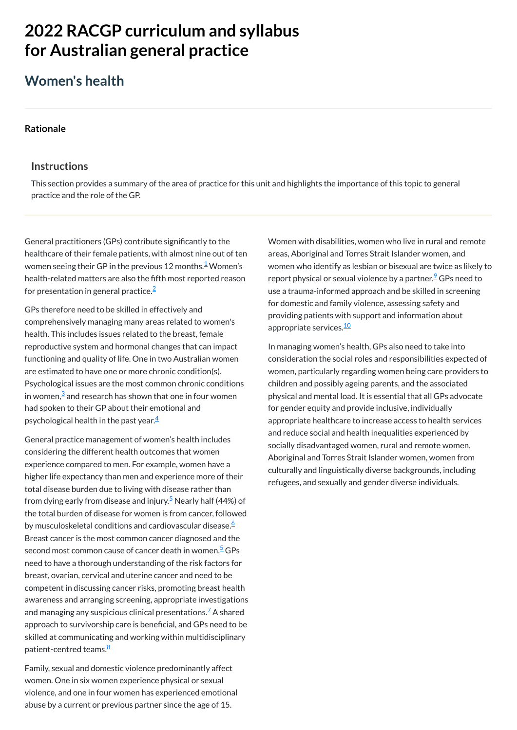# **2022 RACGP curriculum and syllabus for Australian [general practice](https://www.racgp.org.au/Curriculum-and-Syllabus/home)**

# **Women's health**

#### **[Rationale](javascript:void(0))**

### **Instructions**

General practitioners (GPs) contribute significantly to the healthcare of their female patients, with almost nine out of ten women seeing their GP in the previous [1](#page-1-0)2 months.<sup>1</sup> Women's health-related matters are also the fifth most reported reason for presentation in general practice. $\widehat{\texttt{=}}$ 

This section provides a summary of the area of practice for this unit and highlights the importance of this topic to general practice and the role of the GP.

GPs therefore need to be skilled in effectively and comprehensively managing many areas related to women's health. This includes issues related to the breast, female reproductive system and hormonal changes that can impact functioning and quality of life. One in two Australian women are estimated to have one or more chronic condition(s). Psychological issues are the most common chronic conditions in women, $\frac{3}{2}$  $\frac{3}{2}$  $\frac{3}{2}$  and research has shown that one in four women had spoken to their GP about their emotional and psychological health in the past year. $\frac{4}{3}$  $\frac{4}{3}$  $\frac{4}{3}$ 

General practice management of women's health includes considering the different health outcomes that women experience compared to men. For example, women have a higher life expectancy than men and experience more of their total disease burden due to living with disease rather than from dying early from disease and injury.<sup>[5](#page-1-4)</sup> Nearly half (44%) of the total burden of disease for women is from cancer, followed by musculoskeletal conditions and cardiovascular disease. [6](#page-1-5) Breast cancer is the most common cancer diagnosed and the second most common cause of cancer death in women.<sup>[5](#page-1-4)</sup> GPs need to have a thorough understanding of the risk factors for breast, ovarian, cervical and uterine cancer and need to be competent in discussing cancer risks, promoting breast health awareness and arranging screening, appropriate investigations and managing any suspicious clinical presentations. $\mathbb Z$  A shared approach to survivorship care is beneficial, and GPs need to be skilled at communicating and working within multidisciplinary patient-centred teams.<sup>[8](#page-1-7)</sup>

Women with disabilities, women who live in rural and remote areas, Aboriginal and Torres Strait Islander women, and women who identify as lesbian or bisexual are twice as likely to report physical or sexual violence by a partner.<sup>2</sup> GPs need to use a trauma-informed approach and be skilled in screening for domestic and family violence, assessing safety and providing patients with support and information about appropriate services.<sup>[10](#page-1-9)</sup>

Family, sexual and domestic violence predominantly affect women. One in six women experience physical or sexual violence, and one in four women has experienced emotional abuse by a current or previous partner since the age of 15.

In managing women's health, GPs also need to take into consideration the social roles and responsibilities expected of women, particularly regarding women being care providers to children and possibly ageing parents, and the associated physical and mental load. It is essential that all GPs advocate for gender equity and provide inclusive, individually appropriate healthcare to increase access to health services and reduce social and health inequalities experienced by socially disadvantaged women, rural and remote women, Aboriginal and Torres Strait Islander women, women from culturally and linguistically diverse backgrounds, including refugees, and sexually and gender diverse individuals.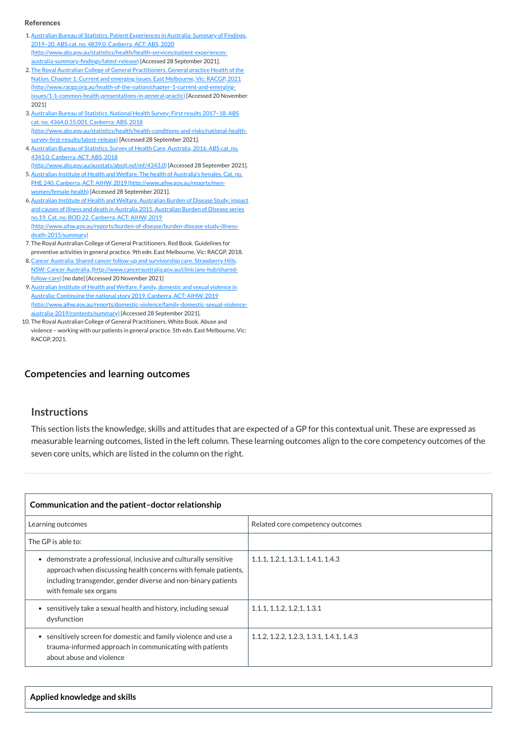## **[Competencies and learning outcomes](javascript:void(0))**

### **Instructions**

This section lists the knowledge, skills and attitudes that are expected of a GP for this contextual unit. These are expressed as measurable learning outcomes, listed in the left column. These learning outcomes align to the core competency outcomes of the seven core units, which are listed in the column on the right.

| Communication and the patient-doctor relationship |                                  |
|---------------------------------------------------|----------------------------------|
| Learning outcomes                                 | Related core competency outcomes |
| The GP is able to:                                |                                  |

| • demonstrate a professional, inclusive and culturally sensitive<br>approach when discussing health concerns with female patients,<br>including transgender, gender diverse and non-binary patients<br>with female sex organs | 1.1.1, 1.2.1, 1.3.1, 1.4.1, 1.4.3        |
|-------------------------------------------------------------------------------------------------------------------------------------------------------------------------------------------------------------------------------|------------------------------------------|
| sensitively take a sexual health and history, including sexual<br>dysfunction                                                                                                                                                 | 1.1.1, 1.1.2, 1.2.1, 1.3.1               |
| sensitively screen for domestic and family violence and use a<br>trauma-informed approach in communicating with patients<br>about abuse and violence                                                                          | 1.1.2, 1.2.2, 1.2.3, 1.3.1, 1.4.1, 1.4.3 |

**Applied knowledge and skills**

#### **References**

- <span id="page-1-0"></span>1.Australian Bureau of Statistics. Patient Experiences in Australia: Summary of Findings, 2019–20. ABS cat. no. 4839.0. Canberra, ACT: ABS, 2020 [\(http://www.abs.gov.au/statistics/health/health-services/patient-experiences](http://www.abs.gov.au/statistics/health/health-services/patient-experiences-australia-summary-findings/latest-release)australia-summary-findings/latest-release) [Accessed 28 September 2021].
- <span id="page-1-1"></span>2. The Royal Australian College of General Practitioners. General practice Health of the Nation. Chapter 1: Current and emerging issues. East Melbourne, Vic: RACGP, 2021 [\(http://www.racgp.org.au/health-of-the-nation/chapter-1-current-and-emerging](http://www.racgp.org.au/health-of-the-nation/chapter-1-current-and-emerging-issues/1-1-common-health-presentations-in-general-practic)issues/1-1-common-health-presentations-in-general-practic) [Accessed 20 November 2021]
- <span id="page-1-2"></span>3. Australian Bureau of Statistics. National Health Survey: First results 2017-18. ABS cat. no. 4364.0.55.001. Canberra: ABS, 2018 [\(http://www.abs.gov.au/statistics/health/health-conditions-and-risks/national-health](http://www.abs.gov.au/statistics/health/health-conditions-and-risks/national-health-survey-first-results/latest-release)survey-first-results/latest-release) [Accessed 28 September 2021].
- <span id="page-1-3"></span>4. Australian Bureau of Statistics. Survey of Health Care, Australia, 2016. ABS cat. no. 4343.0. Canberra, ACT: ABS, 2018

- <span id="page-1-4"></span>5. Australian Institute of Health and Welfare. The health of Australia's females. Cat. no. PHE 240. Canberra, ACT: AIHW, 2019 [\(http://www.aihw.gov.au/reports/men](http://www.aihw.gov.au/reports/men-women/female-health)women/female-health) [Accessed 28 September 2021].
- <span id="page-1-5"></span>6.Australian Institute of Health and Welfare. Australian Burden of Disease Study: impact and causes of illness and death in Australia 2015. Australian Burden of Disease series no.19. Cat. no. BOD 22. Canberra, ACT: AIHW, 2019 [\(http://www.aihw.gov.au/reports/burden-of-disease/burden-disease-study-illness](http://www.aihw.gov.au/reports/burden-of-disease/burden-disease-study-illness-death-2015/summary)death-2015/summary)
- <span id="page-1-6"></span>7. The Royal Australian College of General Practitioners. Red Book. Guidelines for preventive activities in general practice. 9th edn. East Melbourne, Vic: RACGP, 2018.
- <span id="page-1-7"></span>8.Cancer Australia. Shared cancer follow-up and survivorship care. Strawberry Hills, NSW: Cancer Australia, [\(http://www.canceraustralia.gov.au/clinicians-hub/shared](http://www.canceraustralia.gov.au/clinicians-hub/shared-follow-care)follow-care) [no date] [Accessed 20 November 2021]
- <span id="page-1-8"></span>9. Australian Institute of Health and Welfare. Family, domestic and sexual violence in Australia: Continuing the national story 2019. Canberra, ACT: AIHW, 2019 [\(http://www.aihw.gov.au/reports/domestic-violence/family-domestic-sexual-violence](http://www.aihw.gov.au/reports/domestic-violence/family-domestic-sexual-violence-australia-2019/contents/summary)australia-2019/contents/summary) [Accessed 28 September 2021].
- <span id="page-1-9"></span>10. The Royal Australian College of General Practitioners. White Book. Abuse and violence – working with our patients in general practice. 5th edn. East Melbourne, Vic: RACGP, 2021.

[\(http://www.abs.gov.au/ausstats/abs@.nsf/mf/4343.0\)](http://www.abs.gov.au/ausstats/abs@.nsf/mf/4343.0) [Accessed 28 September 2021].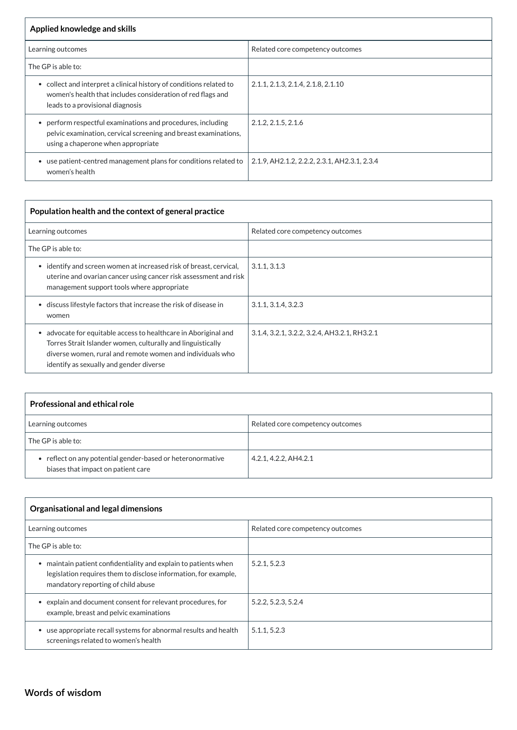| Applied knowledge and skills                                                                                                                                           |                                              |
|------------------------------------------------------------------------------------------------------------------------------------------------------------------------|----------------------------------------------|
| Learning outcomes                                                                                                                                                      | Related core competency outcomes             |
| The GP is able to:                                                                                                                                                     |                                              |
| • collect and interpret a clinical history of conditions related to<br>women's health that includes consideration of red flags and<br>leads to a provisional diagnosis | 2.1.1, 2.1.3, 2.1.4, 2.1.8, 2.1.10           |
| • perform respectful examinations and procedures, including<br>pelvic examination, cervical screening and breast examinations,<br>using a chaperone when appropriate   | 2.1.2, 2.1.5, 2.1.6                          |
| use patient-centred management plans for conditions related to<br>women's health                                                                                       | 2.1.9, AH2.1.2, 2.2.2, 2.3.1, AH2.3.1, 2.3.4 |

| Population health and the context of general practice                                                                                                                                                                                             |                                              |  |
|---------------------------------------------------------------------------------------------------------------------------------------------------------------------------------------------------------------------------------------------------|----------------------------------------------|--|
| Learning outcomes                                                                                                                                                                                                                                 | Related core competency outcomes             |  |
| The GP is able to:                                                                                                                                                                                                                                |                                              |  |
| identify and screen women at increased risk of breast, cervical,<br>$\bullet$<br>uterine and ovarian cancer using cancer risk assessment and risk<br>management support tools where appropriate                                                   | 3.1.1, 3.1.3                                 |  |
| discuss lifestyle factors that increase the risk of disease in<br>women                                                                                                                                                                           | 3.1.1, 3.1.4, 3.2.3                          |  |
| advocate for equitable access to healthcare in Aboriginal and<br>$\bullet$<br>Torres Strait Islander women, culturally and linguistically<br>diverse women, rural and remote women and individuals who<br>identify as sexually and gender diverse | 3.1.4, 3.2.1, 3.2.2, 3.2.4, AH3.2.1, RH3.2.1 |  |

| <b>Professional and ethical role</b>                                                             |                                  |
|--------------------------------------------------------------------------------------------------|----------------------------------|
| Learning outcomes                                                                                | Related core competency outcomes |
| The GP is able to:                                                                               |                                  |
| • reflect on any potential gender-based or heteronormative<br>biases that impact on patient care | 4.2.1, 4.2.2, AH4.2.1            |

| Organisational and legal dimensions |                                  |
|-------------------------------------|----------------------------------|
| Learning outcomes                   | Related core competency outcomes |
| $\mid$ The GP is able to:           |                                  |

| maintain patient confidentiality and explain to patients when<br>legislation requires them to disclose information, for example,<br>mandatory reporting of child abuse | 5.2.1, 5.2.3        |
|------------------------------------------------------------------------------------------------------------------------------------------------------------------------|---------------------|
| explain and document consent for relevant procedures, for<br>example, breast and pelvic examinations                                                                   | 5.2.2, 5.2.3, 5.2.4 |
| use appropriate recall systems for abnormal results and health<br>screenings related to women's health                                                                 | 5.1.1, 5.2.3        |

# **[Words of wisdom](javascript:void(0))**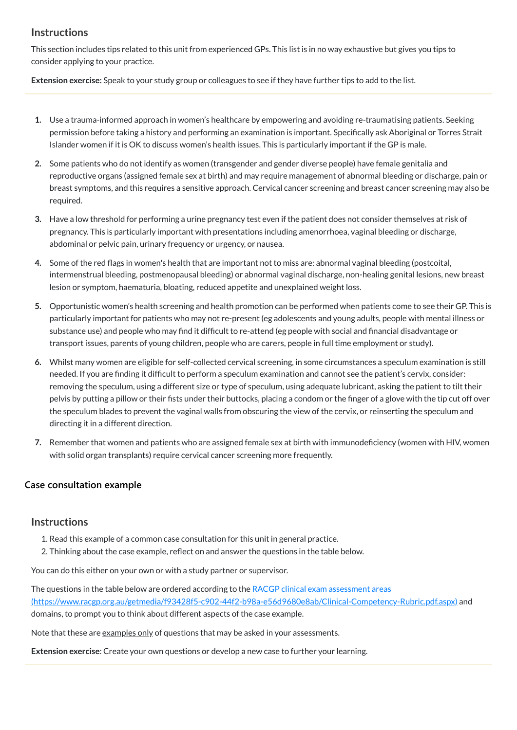# **Instructions**

This section includes tips related to this unit from experienced GPs. This list is in no way exhaustive but gives you tips to consider applying to your practice.

**Extension exercise:** Speak to your study group or colleagues to see if they have further tips to add to the list.

- **1.** Use a trauma-informed approach in women's healthcare by empowering and avoiding re-traumatising patients. Seeking permission before taking a history and performing an examination is important. Specifically ask Aboriginal or Torres Strait Islander women if it is OK to discuss women's health issues. This is particularly important if the GP is male.
- **2.** Some patients who do not identify as women (transgender and gender diverse people) have female genitalia and reproductive organs (assigned female sex at birth) and may require management of abnormal bleeding or discharge, pain or breast symptoms, and this requires a sensitive approach. Cervical cancer screening and breast cancer screening may also be required.
- **3.** Have a low threshold for performing a urine pregnancy test even if the patient does not consider themselves at risk of pregnancy. This is particularly important with presentations including amenorrhoea, vaginal bleeding or discharge, abdominal or pelvic pain, urinary frequency or urgency, or nausea.
- **4.** Some of the red flags in women's health that are important not to miss are: abnormal vaginal bleeding (postcoital, intermenstrual bleeding, postmenopausal bleeding) or abnormal vaginal discharge, non-healing genital lesions, new breast lesion or symptom, haematuria, bloating, reduced appetite and unexplained weight loss.
- **5.** Opportunistic women's health screening and health promotion can be performed when patients come to see their GP. This is particularly important for patients who may not re-present (eg adolescents and young adults, people with mental illness or substance use) and people who may find it difficult to re-attend (eg people with social and financial disadvantage or transport issues, parents of young children, people who are carers, people in full time employment or study).
- **6.** Whilst many women are eligible for self-collected cervical screening, in some circumstances a speculum examination is still needed. If you are finding it difficult to perform a speculum examination and cannot see the patient's cervix, consider: removing the speculum, using a different size or type of speculum, using adequate lubricant, asking the patient to tilt their pelvis by putting a pillow or their fists under their buttocks, placing a condom or the finger of a glove with the tip cut off over the speculum blades to prevent the vaginal walls from obscuring the view of the cervix, or reinserting the speculum and directing it in a different direction.
- **7.** Remember that women and patients who are assigned female sex at birth with immunodeficiency (women with HIV, women with solid organ transplants) require cervical cancer screening more frequently.

## **[Case consultation example](javascript:void(0))**

# **Instructions**

- 1. Read this example of a common case consultation for this unit in general practice.
	-

2. Thinking about the case example, reflect on and answer the questions in the table below.

You can do this either on your own or with a study partner or supervisor.

The questions in the table below are ordered according to the RACGP clinical exam assessment areas

[\(https://www.racgp.org.au/getmedia/f93428f5-c902-44f2-b98a-e56d9680e8ab/Clinical-Competency-Rubric.pdf.aspx\)](https://www.racgp.org.au/getmedia/f93428f5-c902-44f2-b98a-e56d9680e8ab/Clinical-Competency-Rubric.pdf.aspx) and domains, to prompt you to think about different aspects of the case example.

Note that these are examples only of questions that may be asked in your assessments.

**Extension exercise**: Create your own questions or develop a new case to further your learning.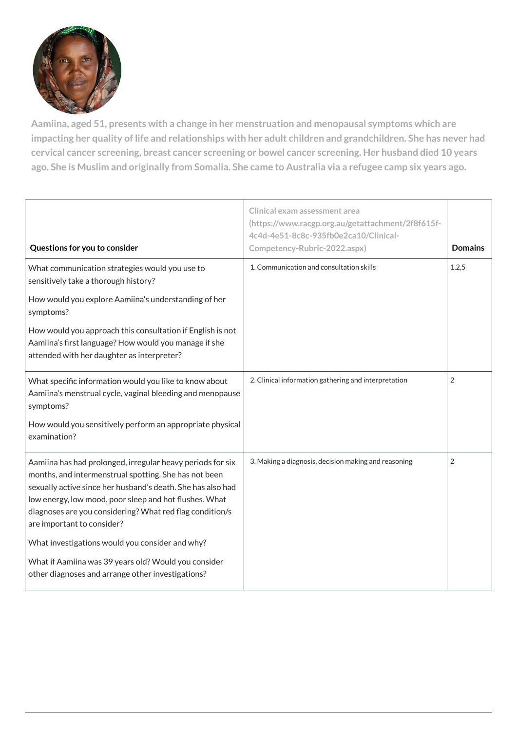

**Aamiina, aged 51, presents with a change in her menstruation and menopausal symptoms which are** impacting her quality of life and relationships with her adult children and grandchildren. She has never had **cervical cancer screening, breast cancer screening or bowel cancer screening. Her husband died 10 years** ago. She is Muslim and originally from Somalia. She came to Australia via a refugee camp six years ago.

| Questions for you to consider                                                                                                                                                                                                                                                                                                          | <b>Clinical exam assessment area</b><br>(https://www.racgp.org.au/getattachment/2f8f615f-<br>4c4d-4e51-8c8c-935fb0e2ca10/Clinical-<br>Competency-Rubric-2022.aspx) | <b>Domains</b> |
|----------------------------------------------------------------------------------------------------------------------------------------------------------------------------------------------------------------------------------------------------------------------------------------------------------------------------------------|--------------------------------------------------------------------------------------------------------------------------------------------------------------------|----------------|
| What communication strategies would you use to<br>sensitively take a thorough history?                                                                                                                                                                                                                                                 | 1. Communication and consultation skills                                                                                                                           | 1,2,5          |
| How would you explore Aamiina's understanding of her<br>symptoms?                                                                                                                                                                                                                                                                      |                                                                                                                                                                    |                |
| How would you approach this consultation if English is not<br>Aamiina's first language? How would you manage if she<br>attended with her daughter as interpreter?                                                                                                                                                                      |                                                                                                                                                                    |                |
| What specific information would you like to know about<br>Aamiina's menstrual cycle, vaginal bleeding and menopause<br>symptoms?                                                                                                                                                                                                       | 2. Clinical information gathering and interpretation                                                                                                               | $\overline{2}$ |
| How would you sensitively perform an appropriate physical<br>examination?                                                                                                                                                                                                                                                              |                                                                                                                                                                    |                |
| Aamiina has had prolonged, irregular heavy periods for six<br>months, and intermenstrual spotting. She has not been<br>sexually active since her husband's death. She has also had<br>low energy, low mood, poor sleep and hot flushes. What<br>diagnoses are you considering? What red flag condition/s<br>are important to consider? | 3. Making a diagnosis, decision making and reasoning                                                                                                               | $\overline{2}$ |
| What investigations would you consider and why?                                                                                                                                                                                                                                                                                        |                                                                                                                                                                    |                |
| What if Aamiina was 39 years old? Would you consider<br>other diagnoses and arrange other investigations?                                                                                                                                                                                                                              |                                                                                                                                                                    |                |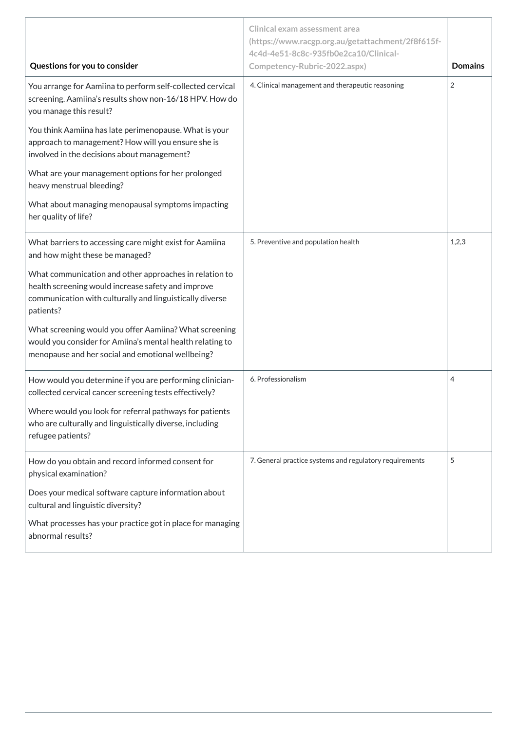|                                                                                                                                                                                       | <b>Clinical exam assessment area</b><br>(https://www.racgp.org.au/getattachment/2f8f615f-<br>4c4d-4e51-8c8c-935fb0e2ca10/Clinical- |                |
|---------------------------------------------------------------------------------------------------------------------------------------------------------------------------------------|------------------------------------------------------------------------------------------------------------------------------------|----------------|
| Questions for you to consider                                                                                                                                                         | Competency-Rubric-2022.aspx)                                                                                                       | <b>Domains</b> |
| You arrange for Aamiina to perform self-collected cervical<br>screening. Aamiina's results show non-16/18 HPV. How do<br>you manage this result?                                      | 4. Clinical management and therapeutic reasoning                                                                                   | $\overline{2}$ |
| You think Aamiina has late perimenopause. What is your<br>approach to management? How will you ensure she is<br>involved in the decisions about management?                           |                                                                                                                                    |                |
| What are your management options for her prolonged<br>heavy menstrual bleeding?                                                                                                       |                                                                                                                                    |                |
| What about managing menopausal symptoms impacting<br>her quality of life?                                                                                                             |                                                                                                                                    |                |
| What barriers to accessing care might exist for Aamiina<br>and how might these be managed?                                                                                            | 5. Preventive and population health                                                                                                | 1,2,3          |
| What communication and other approaches in relation to<br>health screening would increase safety and improve<br>communication with culturally and linguistically diverse<br>patients? |                                                                                                                                    |                |
| What screening would you offer Aamiina? What screening<br>would you consider for Amiina's mental health relating to<br>menopause and her social and emotional wellbeing?              |                                                                                                                                    |                |
| How would you determine if you are performing clinician-<br>collected cervical cancer screening tests effectively?                                                                    | 6. Professionalism                                                                                                                 | 4              |
| Where would you look for referral pathways for patients<br>who are culturally and linguistically diverse, including<br>refugee patients?                                              |                                                                                                                                    |                |
| How do you obtain and record informed consent for<br>physical examination?                                                                                                            | 7. General practice systems and regulatory requirements                                                                            | 5              |
| Does your medical software capture information about<br>cultural and linguistic diversity?                                                                                            |                                                                                                                                    |                |
| What processes has your practice got in place for managing<br>abnormal results?                                                                                                       |                                                                                                                                    |                |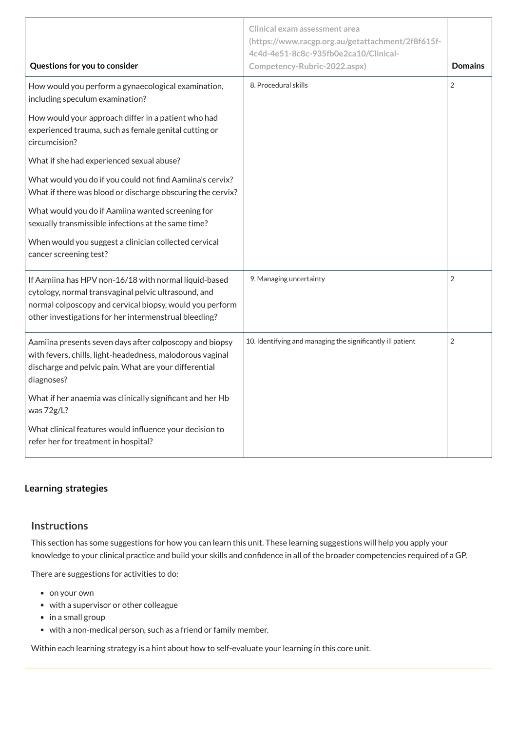| Questions for you to consider                                                                                                                                                                                                      | <b>Clinical exam assessment area</b><br>(https://www.racgp.org.au/getattachment/2f8f615f-<br>4c4d-4e51-8c8c-935fb0e2ca10/Clinical-<br>Competency-Rubric-2022.aspx) | <b>Domains</b> |
|------------------------------------------------------------------------------------------------------------------------------------------------------------------------------------------------------------------------------------|--------------------------------------------------------------------------------------------------------------------------------------------------------------------|----------------|
| How would you perform a gynaecological examination,<br>including speculum examination?                                                                                                                                             | 8. Procedural skills                                                                                                                                               | $\overline{2}$ |
| How would your approach differ in a patient who had<br>experienced trauma, such as female genital cutting or<br>circumcision?                                                                                                      |                                                                                                                                                                    |                |
| What if she had experienced sexual abuse?                                                                                                                                                                                          |                                                                                                                                                                    |                |
| What would you do if you could not find Aamiina's cervix?<br>What if there was blood or discharge obscuring the cervix?                                                                                                            |                                                                                                                                                                    |                |
| What would you do if Aamiina wanted screening for<br>sexually transmissible infections at the same time?                                                                                                                           |                                                                                                                                                                    |                |
| When would you suggest a clinician collected cervical<br>cancer screening test?                                                                                                                                                    |                                                                                                                                                                    |                |
| If Aamiina has HPV non-16/18 with normal liquid-based<br>cytology, normal transvaginal pelvic ultrasound, and<br>normal colposcopy and cervical biopsy, would you perform<br>other investigations for her intermenstrual bleeding? | 9. Managing uncertainty                                                                                                                                            | $\overline{2}$ |
| Aamiina presents seven days after colposcopy and biopsy<br>with fevers, chills, light-headedness, malodorous vaginal<br>discharge and pelvic pain. What are your differential<br>diagnoses?                                        | 10. Identifying and managing the significantly ill patient                                                                                                         | $\overline{2}$ |
| What if her anaemia was clinically significant and her Hb<br>was 72g/L?                                                                                                                                                            |                                                                                                                                                                    |                |
| What clinical features would influence your decision to<br>refer her for treatment in hospital?                                                                                                                                    |                                                                                                                                                                    |                |

- on your own
- with a supervisor or other colleague
- in a small group
- with a non-medical person, such as a friend or family member.

# **[Learning strategies](javascript:void(0))**

# **Instructions**

This section has some suggestions for how you can learn this unit. These learning suggestions will help you apply your

knowledge to your clinical practice and build your skills and confidence in all of the broader competencies required of a GP.

There are suggestions for activities to do:

Within each learning strategy is a hint about how to self-evaluate your learning in this core unit.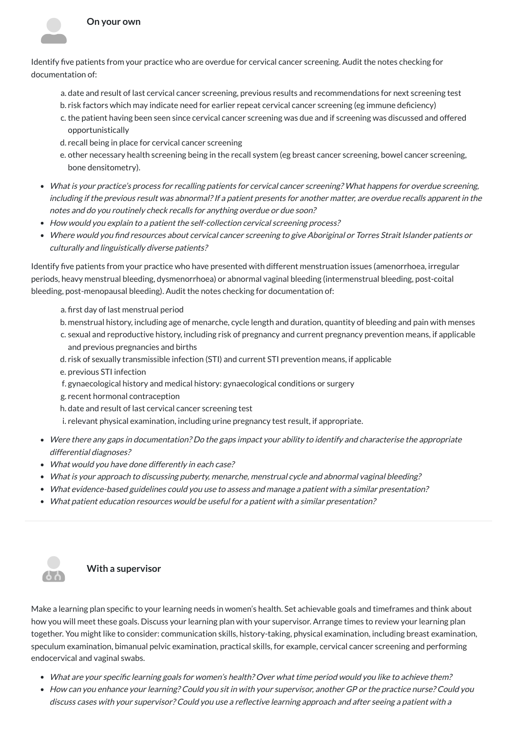#### **On your own**

Identify five patients from your practice who are overdue for cervical cancer screening. Audit the notes checking for documentation of:

- a. date and result of last cervical cancer screening, previous results and recommendations for next screening test
- b. risk factors which may indicate need for earlier repeat cervical cancer screening (eg immune deficiency)
- c. the patient having been seen since cervical cancer screening was due and if screening was discussed and offered opportunistically
- d. recall being in place for cervical cancer screening
- e. other necessary health screening being in the recall system (eg breast cancer screening, bowel cancer screening, bone densitometry).
- What is your practice's process for recalling patients for cervical cancer screening? What happens for overdue screening, including if the previous result was abnormal? If a patient presents for another matter, are overdue recalls apparent in the notes and do you routinely check recalls for anything overdue or due soon? entify fives and the controller and the controller and the controller and include the controller and the controller and the controller and the controller and the controller and the controller and the controller and the con
- How would you explain to a patient the self-collection cervical screening process?
- Where would you find resources about cervical cancer screening to give Aboriginal or Torres Strait Islander patients or culturally and linguistically diverse patients?

Identify five patients from your practice who have presented with different menstruation issues (amenorrhoea, irregular periods, heavy menstrual bleeding, dysmenorrhoea) or abnormal vaginal bleeding (intermenstrual bleeding, post-coital bleeding, post-menopausal bleeding). Audit the notes checking for documentation of:

- a. first day of last menstrual period
- b. menstrual history, including age of menarche, cycle length and duration, quantity of bleeding and pain with menses
- c. sexual and reproductive history, including risk of pregnancy and current pregnancy prevention means, if applicable and previous pregnancies and births
- d. risk of sexually transmissible infection (STI) and current STI prevention means, if applicable
- e. previous STI infection
- f. gynaecological history and medical history: gynaecological conditions or surgery
- g. recent hormonal contraception
- h. date and result of last cervical cancer screening test
- i. relevant physical examination, including urine pregnancy test result, if appropriate.
- Were there any gaps in documentation? Do the gaps impact your ability to identify and characterise the appropriate differential diagnoses?
- What would you have done differently in each case?
- What is your approach to discussing puberty, menarche, menstrual cycle and abnormal vaginal bleeding?
- What evidence-based guidelines could you use to assess and manage <sup>a</sup> patient with <sup>a</sup> similar presentation?
- What patient education resources would be useful for <sup>a</sup> patient with <sup>a</sup> similar presentation?



Make a learning plan specific to your learning needs in women's health. Set achievable goals and timeframes and think about how you will meet these goals. Discuss your learning plan with your supervisor. Arrange times to review your learning plan together. You might like to consider: communication skills, history-taking, physical examination, including breast examination, speculum examination, bimanual pelvic examination, practical skills, for example, cervical cancer screening and performing endocervical and vaginal swabs.

- What are your specific learning goals for women's health? Over what time period would you like to achieve them?
- How can you enhance your learning? Could you sit in with your supervisor, another GP or the practice nurse? Could you discuss cases with your supervisor? Could you use <sup>a</sup> reflective learning approach and after seeing <sup>a</sup> patient with <sup>a</sup>

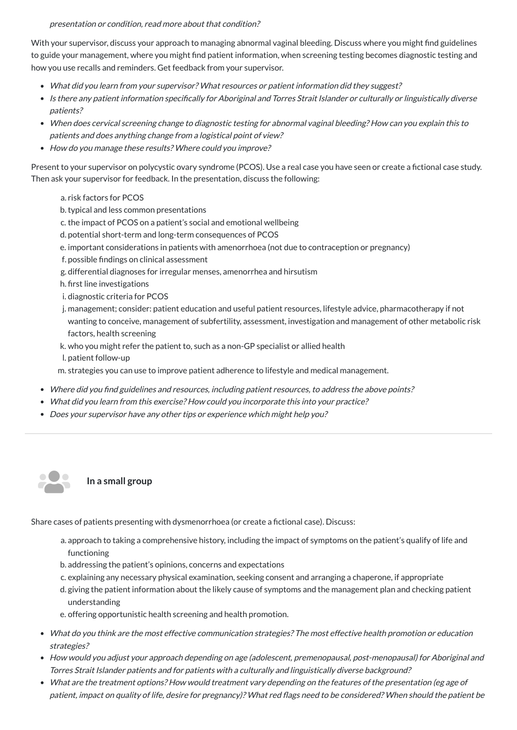#### presentation or condition, read more about that condition?

- What did you learn from your supervisor? What resources or patient information did they suggest?
- Is there any patient information specifically for Aboriginal and Torres Strait Islander or culturally or linguistically diverse patients?
- When does cervical screening change to diagnostic testing for abnormal vaginal bleeding? How can you explain this to patients and does anything change from <sup>a</sup> logistical point of view?
- How do you manage these results? Where could you improve?

With your supervisor, discuss your approach to managing abnormal vaginal bleeding. Discuss where you might find guidelines to guide your management, where you might find patient information, when screening testing becomes diagnostic testing and how you use recalls and reminders. Get feedback from your supervisor.

Present to your supervisor on polycystic ovary syndrome (PCOS). Use a real case you have seen or create a fictional case study. Then ask your supervisor for feedback. In the presentation, discuss the following:

**In a small group** 28

- a. risk factors for PCOS
- b.typical and less common presentations
- c. the impact of PCOS on a patient's social and emotional wellbeing
- d. potential short-term and long-term consequences of PCOS
- e. important considerations in patients with amenorrhoea (not due to contraception or pregnancy)
- f. possible findings on clinical assessment
- g. differential diagnoses for irregular menses, amenorrhea and hirsutism
- h. first line investigations
- i. diagnostic criteria for PCOS
- j. management; consider: patient education and useful patient resources, lifestyle advice, pharmacotherapy if not wanting to conceive, management of subfertility, assessment, investigation and management of other metabolic risk factors, health screening
- k. who you might refer the patient to, such as a non-GP specialist or allied health
- l. patient follow-up
- m. strategies you can use to improve patient adherence to lifestyle and medical management.
- Where did you find guidelines and resources, including patient resources, to address the above points?
- What did you learn from this exercise? How could you incorporate this into your practice?
- Does your supervisor have any other tips or experience which might help you?

Share cases of patients presenting with dysmenorrhoea (or create a fictional case). Discuss:

a. approach to taking a comprehensive history, including the impact of symptoms on the patient's qualify of life and

#### functioning

b. addressing the patient's opinions, concerns and expectations

c. explaining any necessary physical examination, seeking consent and arranging a chaperone, if appropriate d. giving the patient information about the likely cause of symptoms and the management plan and checking patient understanding

e. offering opportunistic health screening and health promotion.

- What do you think are the most effective communication strategies? The most effective health promotion or education strategies?
- How would you adjust your approach depending on age (adolescent, premenopausal, post-menopausal) for Aboriginal and Torres Strait Islander patients and for patients with <sup>a</sup> culturally and linguistically diverse background?
- What are the treatment options? How would treatment vary depending on the features of the presentation (eg age of patient, impact on quality of life, desire for pregnancy)? What red flags need to be considered? When should the patient be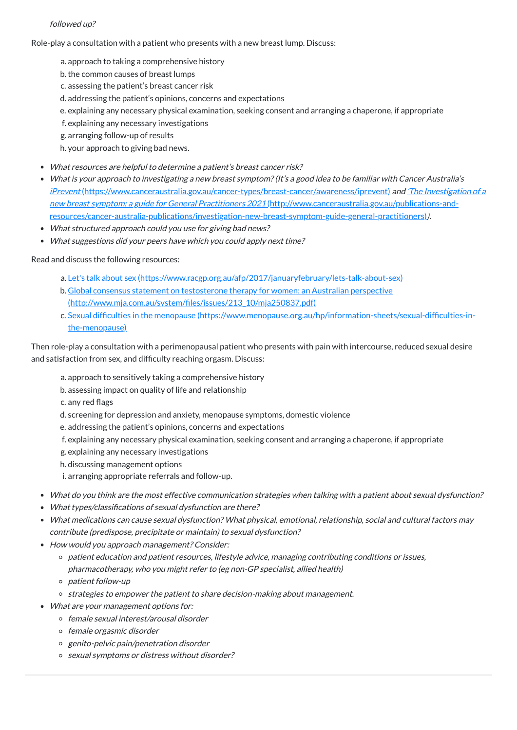### followed up?

Role-play a consultation with a patient who presents with a new breast lump. Discuss:

- a. approach to taking a comprehensive history
- b.the common causes of breast lumps
- c. assessing the patient's breast cancer risk
- d. addressing the patient's opinions, concerns and expectations
- e. explaining any necessary physical examination, seeking consent and arranging a chaperone, if appropriate
- f. explaining any necessary investigations
- g. arranging follow-up of results
- h. your approach to giving bad news.
- What resources are helpful to determine <sup>a</sup> patient's breast cancer risk?
- What is your approach to investigating <sup>a</sup> new breast symptom?(It's <sup>a</sup> good idea to be familiar with Cancer Australia's iPrevent [\(https://www.canceraustralia.gov.au/cancer-types/breast-cancer/awareness/iprevent\)](https://www.canceraustralia.gov.au/cancer-types/breast-cancer/awareness/iprevent) and 'The Investigation of a new breast symptom: <sup>a</sup> guide for General Practitioners 2021 (http://www.canceraustralia.gov.au/publications-and[resources/cancer-australia-publications/investigation-new-breast-symptom-guide-general-practitioners\)](http://www.canceraustralia.gov.au/publications-and-resources/cancer-australia-publications/investigation-new-breast-symptom-guide-general-practitioners)).
- What structured approach could you use for giving bad news?
- What suggestions did your peers have which you could apply next time?

- a. approach to sensitively taking a comprehensive history
- b. assessing impact on quality of life and relationship
- c. any red flags
- d. screening for depression and anxiety, menopause symptoms, domestic violence
- e. addressing the patient's opinions, concerns and expectations
- f. explaining any necessary physical examination, seeking consent and arranging a chaperone, if appropriate
- g. explaining any necessary investigations
- h. discussing management options
- i. arranging appropriate referrals and follow-up.
- What do you think are the most effective communication strategies when talking with <sup>a</sup> patient about sexual dysfunction?
- What types/classifications of sexual dysfunction are there?
- What medications can cause sexual dysfunction? What physical, emotional, relationship, social and cultural factors may contribute (predispose, precipitate or maintain) to sexual dysfunction?
- How would you approach management? Consider:
	- o patient education and patient resources, lifestyle advice, managing contributing conditions or issues, pharmacotherapy, who you might refer to (eg non-GP specialist, allied health)
	- o patient follow-up
	- o strategies to empower the patient to share decision-making about management.
- What are your management options for:
	- o female sexual interest/arousal disorder
	- o female orgasmic disorder
	- genito-pelvic pain/penetration disorder
	- o sexual symptoms or distress without disorder?

Read and discuss the following resources:

- a. Let's talk about sex [\(https://www.racgp.org.au/afp/2017/januaryfebruary/lets-talk-about-sex\)](https://www.racgp.org.au/afp/2017/januaryfebruary/lets-talk-about-sex)
- b. Global consensus statement on testosterone therapy for women: an Australian perspective [\(http://www.mja.com.au/system/files/issues/213\\_10/mja250837.pdf\)](http://www.mja.com.au/system/files/issues/213_10/mja250837.pdf)
- c. Sexual difficulties in the menopause [\(https://www.menopause.org.au/hp/information-sheets/sexual-difficulties-in](https://www.menopause.org.au/hp/information-sheets/sexual-difficulties-in-the-menopause)the-menopause)

Then role-play a consultation with a perimenopausal patient who presents with pain with intercourse, reduced sexual desire and satisfaction from sex, and difficulty reaching orgasm. Discuss: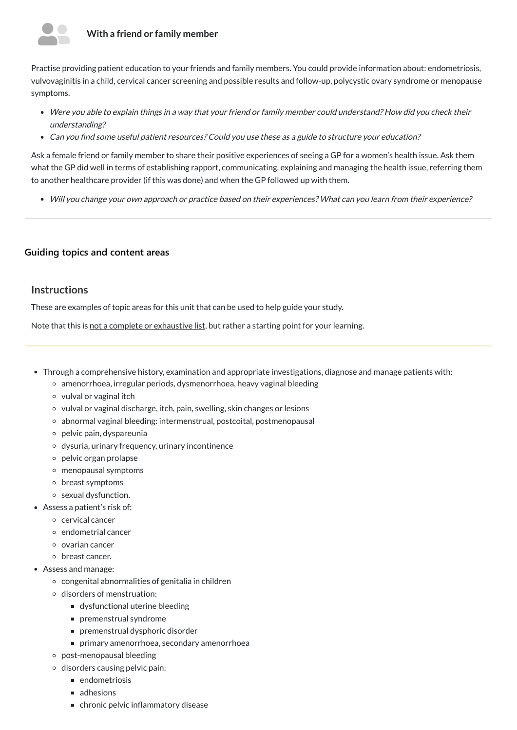

### **With a friend or family member**

Practise providing patient education to your friends and family members. You could provide information about: endometriosis, vulvovaginitis in a child, cervical cancer screening and possible results and follow-up, polycystic ovary syndrome or menopause symptoms.

- Were you able to explain things in <sup>a</sup> way that your friend or family member could understand? How did you check their understanding?
- Can you find some useful patient resources? Could you use these as <sup>a</sup> guide to structure your education?

- Through a comprehensive history, examination and appropriate investigations, diagnose and manage patients with:
	- amenorrhoea, irregular periods, dysmenorrhoea, heavy vaginal bleeding
	- $\circ$  vulval or vaginal itch
	- vulval or vaginal discharge, itch, pain, swelling, skin changes or lesions
	- abnormal vaginal bleeding: intermenstrual, postcoital, postmenopausal
	- $\circ$  pelvic pain, dyspareunia
	- dysuria, urinary frequency, urinary incontinence
	- pelvic organ prolapse
	- menopausal symptoms
	- breast symptoms
	- sexual dysfunction.
- Assess a patient's risk of:
	- cervical cancer
	- endometrial cancer
	- $\circ$  ovarian cancer

Ask a female friend or family member to share their positive experiences of seeing a GP for a women's health issue. Ask them what the GP did well in terms of establishing rapport, communicating, explaining and managing the health issue, referring them to another healthcare provider (if this was done) and when the GP followed up with them.

Will you change your own approach or practice based on their experiences? What can you learn from their experience?

### **[Guiding topics and content areas](javascript:void(0))**

## **Instructions**

These are examples of topic areas for this unit that can be used to help guide your study.

Note that this is not a complete or exhaustive list, but rather a starting point for your learning.

breast cancer.

- Assess and manage:
	- $\circ$  congenital abnormalities of genitalia in children
	- o disorders of menstruation:
		- dysfunctional uterine bleeding
		- premenstrual syndrome
		- premenstrual dysphoric disorder
		- **Perimary amenorrhoea, secondary amenorrhoea**
	- post-menopausal bleeding
	- o disorders causing pelvic pain:
		- **n** endometriosis
		- adhesions
		- chronic pelvic inflammatory disease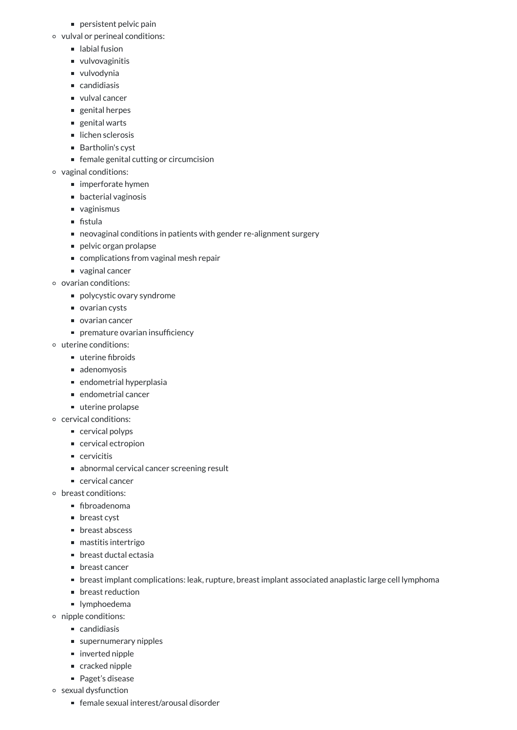- persistent pelvic pain
- vulval or perineal conditions:
	- labial fusion
	- vulvovaginitis
	- vulvodynia
	- candidiasis
	- vulval cancer
	- genital herpes
	- genital warts
	- $\blacksquare$  lichen sclerosis
	- Bartholin's cyst
	- female genital cutting or circumcision
- vaginal conditions:
	- imperforate hymen
	- bacterial vaginosis
	- vaginismus
	- $\blacksquare$  fistula
	- neovaginal conditions in patients with gender re-alignment surgery
	- pelvic organ prolapse
	- complications from vaginal mesh repair
	- vaginal cancer
- o ovarian conditions:
	- polycystic ovary syndrome
	- varian cysts
	- ovarian cancer
	- premature ovarian insufficiency
- uterine conditions:
	- uterine fibroids
	- adenomyosis
	- $\blacksquare$  endometrial hyperplasia
	- $\blacksquare$  endometrial cancer
	- uterine prolapse
- cervical conditions:
	- cervical polyps
	- cervical ectropion
	- cervicitis
	- abnormal cervical cancer screening result
	- cervical cancer
- o breast conditions:
	- **fibroadenoma**
	- **Deast cyst**
	- **p** breast abscess
	- mastitis intertrigo
	- breast ductal ectasia
	- breast cancer
	- breast implant complications: leak, rupture, breast implant associated anaplastic large cell lymphoma
	- **Deast reduction**
	- **I** lymphoedema
- nipple conditions:
	- candidiasis
	- supernumerary nipples
	- inverted nipple
	- cracked nipple
	- Paget's disease
- sexual dysfunction
	- female sexual interest/arousal disorder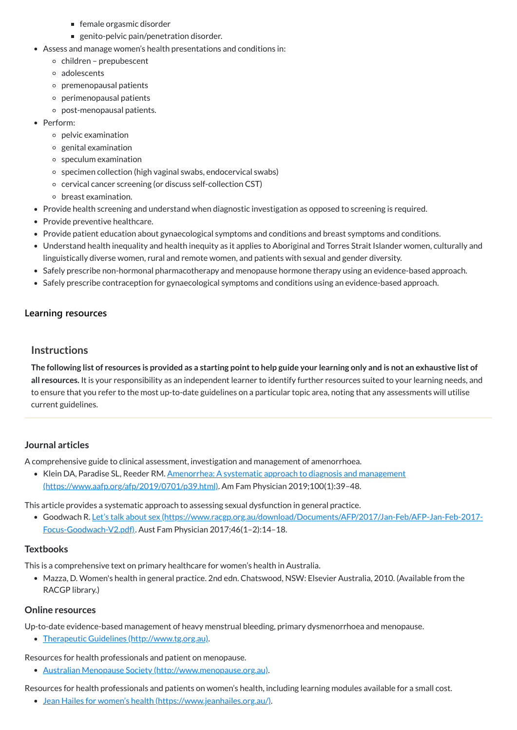- female orgasmic disorder
- **EX genito-pelvic pain/penetration disorder.**
- Assess and manage women's health presentations and conditions in:
	- $\circ$  children prepubescent
	- adolescents
	- $\circ$  premenopausal patients
	- $\circ$  perimenopausal patients
	- post-menopausal patients.
- Perform:
	- $\circ$  pelvic examination
	- $\circ$  genital examination
	- speculum examination
	- o specimen collection (high vaginal swabs, endocervical swabs)
	- cervical cancer screening (or discuss self-collection CST)
	- breast examination.
- Provide health screening and understand when diagnostic investigation as opposed to screening is required.
- Provide preventive healthcare.
- Provide patient education about gynaecological symptoms and conditions and breast symptoms and conditions.
- Understand health inequality and health inequity as it applies to Aboriginal and Torres Strait Islander women, culturally and linguistically diverse women, rural and remote women, and patients with sexual and gender diversity.
- Safely prescribe non-hormonal pharmacotherapy and menopause hormone therapy using an evidence-based approach.
- Safely prescribe contraception for gynaecological symptoms and conditions using an evidence-based approach.

The following list of resources is provided as a starting point to help guide your learning only and is not an exhaustive list of **all resources.** It is your responsibility as an independent learner to identify further resources suited to your learning needs, and to ensure that you refer to the most up-to-date guidelines on a particular topic area, noting that any assessments will utilise current guidelines.

- Klein DA, Paradise SL, Reeder RM. Amenorrhea: A systematic approach to diagnosis and management [\(https://www.aafp.org/afp/2019/0701/p39.html\).](https://www.aafp.org/afp/2019/0701/p39.html) Am Fam Physician 2019;100(1):39–48.
- This article provides a systematic approach to assessing sexual dysfunction in general practice.
	- Goodwach R. Let's talk about sex [\(https://www.racgp.org.au/download/Documents/AFP/2017/Jan-Feb/AFP-Jan-Feb-2017-](https://www.racgp.org.au/download/Documents/AFP/2017/Jan-Feb/AFP-Jan-Feb-2017-Focus-Goodwach-V2.pdf) Focus-Goodwach-V2.pdf). Aust Fam Physician 2017;46(1–2):14–18.

# **[Learning resources](javascript:void(0))**

# **Instructions**

# **Journal articles**

A comprehensive guide to clinical assessment, investigation and management of amenorrhoea.

#### **Textbooks**

This is a comprehensive text on primary healthcare for women's health in Australia.

Mazza, D. Women's health in general practice. 2nd edn. Chatswood, NSW: Elsevier Australia, 2010. (Available from the RACGP library.)

#### **Online resources**

Up-to-date evidence-based management of heavy menstrual bleeding, primary dysmenorrhoea and menopause.

• Therapeutic Guidelines [\(http://www.tg.org.au\).](http://www.tg.org.au/)

Resources for health professionals and patient on menopause.

Australian Menopause Society [\(http://www.menopause.org.au\)](http://www.menopause.org.au/).

Resources for health professionals and patients on women's health, including learning modules available for a small cost.

Jean Hailes for women's health [\(https://www.jeanhailes.org.au/\).](https://www.jeanhailes.org.au/)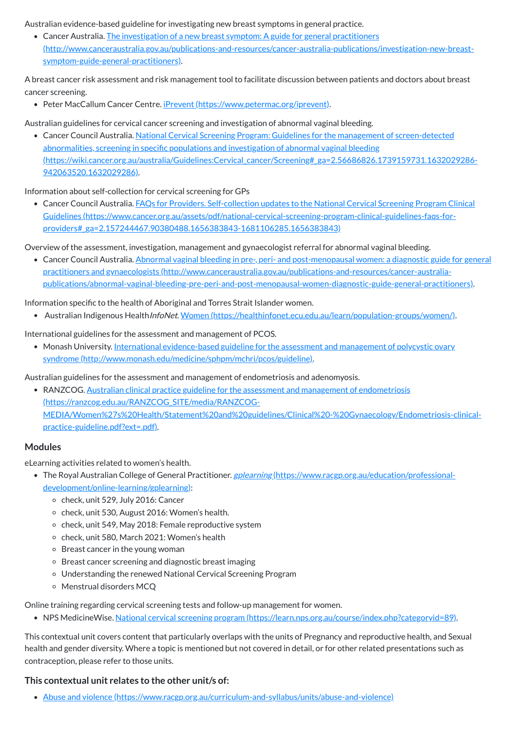Australian evidence-based guideline for investigating new breast symptoms in general practice.

• Cancer Australia. The investigation of a new breast symptom: A guide for general practitioners [\(http://www.canceraustralia.gov.au/publications-and-resources/cancer-australia-publications/investigation-new-breast](http://www.canceraustralia.gov.au/publications-and-resources/cancer-australia-publications/investigation-new-breast-symptom-guide-general-practitioners)symptom-guide-general-practitioners).

A breast cancer risk assessment and risk management tool to facilitate discussion between patients and doctors about breast cancer screening.

• Peter MacCallum Cancer Centre. *iPrevent [\(https://www.petermac.org/iprevent\)](https://www.petermac.org/iprevent).* 

Australian guidelines for cervical cancer screening and investigation of abnormal vaginal bleeding.

Cancer Council Australia. National Cervical Screening Program: Guidelines for the management of screen-detected abnormalities, screening in specific populations and investigation of abnormal vaginal bleeding [\(https://wiki.cancer.org.au/australia/Guidelines:Cervical\\_cancer/Screening#\\_ga=2.56686826.1739159731.1632029286-](https://wiki.cancer.org.au/australia/Guidelines:Cervical_cancer/Screening#_ga=2.56686826.1739159731.1632029286-942063520.1632029286) 942063520.1632029286).

• Cancer Council Australia. Abnormal vaginal bleeding in pre-, peri- and post-menopausal women: a diagnostic guide for general practitioners and gynaecologists (http://www.canceraustralia.gov.au/publications-and-resources/cancer-australia[publications/abnormal-vaginal-bleeding-pre-peri-and-post-menopausal-women-diagnostic-guide-general-practitioners\).](http://www.canceraustralia.gov.au/publications-and-resources/cancer-australia-publications/abnormal-vaginal-bleeding-pre-peri-and-post-menopausal-women-diagnostic-guide-general-practitioners)

Information about self-collection for cervical screening for GPs

• Monash University. International evidence-based guideline for the assessment and management of polycystic ovary syndrome [\(http://www.monash.edu/medicine/sphpm/mchri/pcos/guideline\).](http://www.monash.edu/medicine/sphpm/mchri/pcos/guideline)

Cancer Council Australia. FAQs for Providers. Self-collection updates to the National Cervical Screening Program Clinical Guidelines [\(https://www.cancer.org.au/assets/pdf/national-cervical-screening-program-clinical-guidelines-faqs-for](https://www.cancer.org.au/assets/pdf/national-cervical-screening-program-clinical-guidelines-faqs-for-providers#_ga=2.157244467.90380488.1656383843-1681106285.1656383843)providers#\_ga=2.157244467.90380488.1656383843-1681106285.1656383843)

• RANZCOG. Australian clinical practice guideline for the assessment and management of endometriosis (https://ranzcog.edu.au/RANZCOG\_SITE/media/RANZCOG-[MEDIA/Women%27s%20Health/Statement%20and%20guidelines/Clinical%20-%20Gynaecology/Endometriosis-clinical](https://ranzcog.edu.au/RANZCOG_SITE/media/RANZCOG-MEDIA/Women%27s%20Health/Statement%20and%20guidelines/Clinical%20-%20Gynaecology/Endometriosis-clinical-practice-guideline.pdf?ext=.pdf)practice-guideline.pdf?ext=.pdf).

Overview of the assessment, investigation, management and gynaecologist referral for abnormal vaginal bleeding.

- The Royal Australian College of General Practitioner. *gplearning [\(https://www.racgp.org.au/education/professional](https://www.racgp.org.au/education/professional-development/online-learning/gplearning)*development/online-learning/gplearning):
	- o check, unit 529, July 2016: Cancer
	- o check, unit 530, August 2016: Women's health.
	- check, unit 549, May 2018: Female reproductive system
	- $\circ$  check, unit 580, March 2021: Women's health
	- o Breast cancer in the young woman
	- Breast cancer screening and diagnostic breast imaging
	- Understanding the renewed National Cervical Screening Program
	- Menstrual disorders MCQ

Information specific to the health of Aboriginal and Torres Strait Islander women.

• Australian Indigenous Health*InfoNet*. Women [\(https://healthinfonet.ecu.edu.au/learn/population-groups/women/\)](https://healthinfonet.ecu.edu.au/learn/population-groups/women/).

International guidelines for the assessment and management of PCOS.

Australian guidelines for the assessment and management of endometriosis and adenomyosis.

## **Modules**

eLearning activities related to women's health.

Online training regarding cervical screening tests and follow-up management for women.

• NPS MedicineWise. National cervical screening program [\(https://learn.nps.org.au/course/index.php?categoryid=89\)](https://learn.nps.org.au/course/index.php?categoryid=89).

This contextual unit covers content that particularly overlaps with the units of Pregnancy and reproductive health, and Sexual health and gender diversity. Where a topic is mentioned but not covered in detail, or for other related presentations such as contraception, please refer to those units.

#### **This contextual unit relates to the other unit/s of:**

Abuse and violence [\(https://www.racgp.org.au/curriculum-and-syllabus/units/abuse-and-violence\)](https://www.racgp.org.au/curriculum-and-syllabus/units/abuse-and-violence)